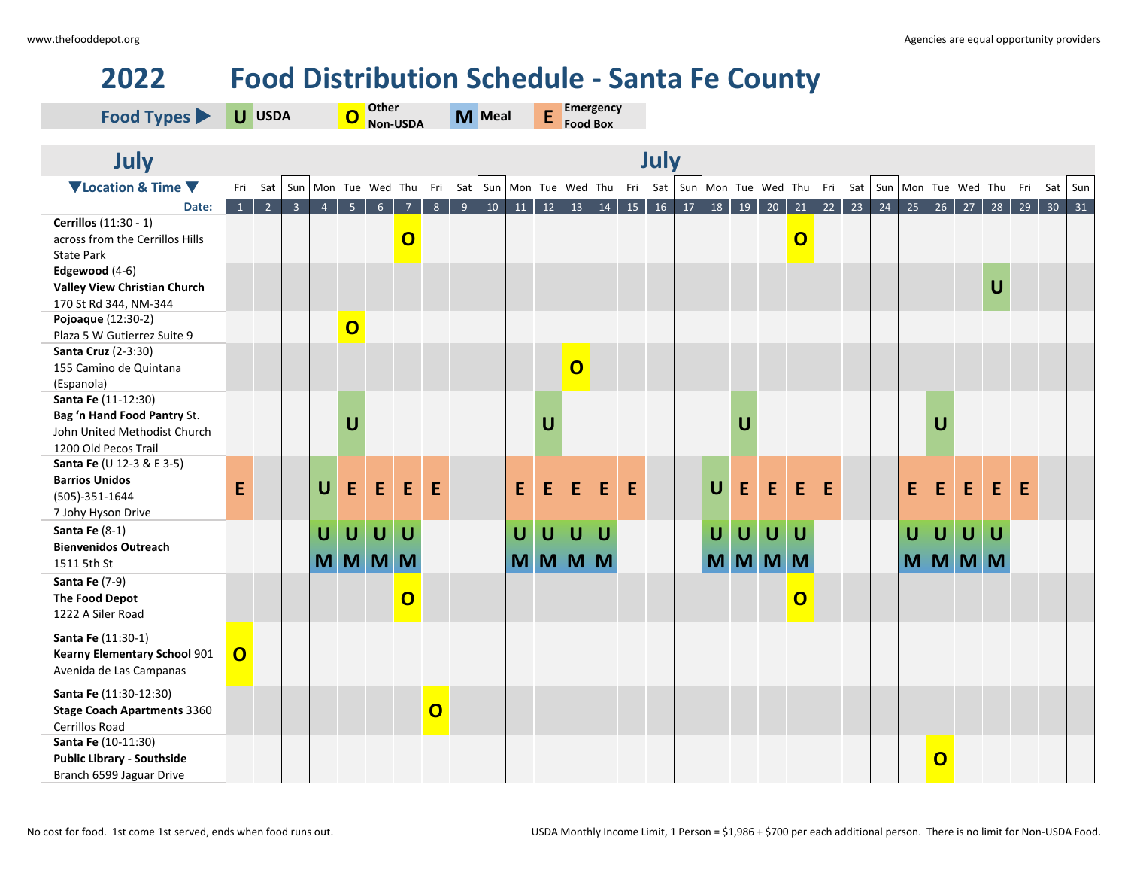## **2022 Food Distribution Schedule - Santa Fe County**

| July<br>July<br>▼Location & Time ▼<br>Sun Mon Tue Wed Thu Fri Sat Sun Mon Tue Wed Thu Fri Sat Sun Mon Tue Wed Thu Fri Sat<br>Sun Mon Tue Wed Thu Fri Sat<br>Sun<br>Fri Sat<br>5 <sup>7</sup><br>$10$ 11 12 13 14<br>15 16 17 18 19<br>21<br>$22 \mid 23$<br>$25$ 26 27<br>$\overline{2}$<br>3 <sup>°</sup><br>6 <sup>1</sup><br>$8 \mid 9$<br>20<br>$\vert$ 24<br>28<br>29<br>30<br>31<br>$\mathbf{1}$<br>$\blacklozenge$<br>$\overline{7}$<br>Date:<br>Cerrillos (11:30 - 1)<br>$\overline{O}$<br>$\overline{O}$<br>across from the Cerrillos Hills<br><b>State Park</b><br>Edgewood (4-6)<br>$\cup$<br>Valley View Christian Church<br>170 St Rd 344, NM-344<br>Pojoaque (12:30-2)<br>$\overline{O}$ | Food Types                  | U USDA |  |  | 0 | Other | Non-USDA |  | M Meal |  | Emergency<br>E<br><b>Food Box</b> |  |  |  |  |  |  |  |  |  |  |  |  |  |  |  |  |  |
|--------------------------------------------------------------------------------------------------------------------------------------------------------------------------------------------------------------------------------------------------------------------------------------------------------------------------------------------------------------------------------------------------------------------------------------------------------------------------------------------------------------------------------------------------------------------------------------------------------------------------------------------------------------------------------------------------------|-----------------------------|--------|--|--|---|-------|----------|--|--------|--|-----------------------------------|--|--|--|--|--|--|--|--|--|--|--|--|--|--|--|--|--|
|                                                                                                                                                                                                                                                                                                                                                                                                                                                                                                                                                                                                                                                                                                        |                             |        |  |  |   |       |          |  |        |  |                                   |  |  |  |  |  |  |  |  |  |  |  |  |  |  |  |  |  |
|                                                                                                                                                                                                                                                                                                                                                                                                                                                                                                                                                                                                                                                                                                        |                             |        |  |  |   |       |          |  |        |  |                                   |  |  |  |  |  |  |  |  |  |  |  |  |  |  |  |  |  |
|                                                                                                                                                                                                                                                                                                                                                                                                                                                                                                                                                                                                                                                                                                        |                             |        |  |  |   |       |          |  |        |  |                                   |  |  |  |  |  |  |  |  |  |  |  |  |  |  |  |  |  |
|                                                                                                                                                                                                                                                                                                                                                                                                                                                                                                                                                                                                                                                                                                        |                             |        |  |  |   |       |          |  |        |  |                                   |  |  |  |  |  |  |  |  |  |  |  |  |  |  |  |  |  |
|                                                                                                                                                                                                                                                                                                                                                                                                                                                                                                                                                                                                                                                                                                        |                             |        |  |  |   |       |          |  |        |  |                                   |  |  |  |  |  |  |  |  |  |  |  |  |  |  |  |  |  |
|                                                                                                                                                                                                                                                                                                                                                                                                                                                                                                                                                                                                                                                                                                        |                             |        |  |  |   |       |          |  |        |  |                                   |  |  |  |  |  |  |  |  |  |  |  |  |  |  |  |  |  |
|                                                                                                                                                                                                                                                                                                                                                                                                                                                                                                                                                                                                                                                                                                        |                             |        |  |  |   |       |          |  |        |  |                                   |  |  |  |  |  |  |  |  |  |  |  |  |  |  |  |  |  |
|                                                                                                                                                                                                                                                                                                                                                                                                                                                                                                                                                                                                                                                                                                        |                             |        |  |  |   |       |          |  |        |  |                                   |  |  |  |  |  |  |  |  |  |  |  |  |  |  |  |  |  |
|                                                                                                                                                                                                                                                                                                                                                                                                                                                                                                                                                                                                                                                                                                        |                             |        |  |  |   |       |          |  |        |  |                                   |  |  |  |  |  |  |  |  |  |  |  |  |  |  |  |  |  |
|                                                                                                                                                                                                                                                                                                                                                                                                                                                                                                                                                                                                                                                                                                        | Plaza 5 W Gutierrez Suite 9 |        |  |  |   |       |          |  |        |  |                                   |  |  |  |  |  |  |  |  |  |  |  |  |  |  |  |  |  |
| Santa Cruz (2-3:30)                                                                                                                                                                                                                                                                                                                                                                                                                                                                                                                                                                                                                                                                                    |                             |        |  |  |   |       |          |  |        |  |                                   |  |  |  |  |  |  |  |  |  |  |  |  |  |  |  |  |  |
| $\overline{O}$<br>155 Camino de Quintana                                                                                                                                                                                                                                                                                                                                                                                                                                                                                                                                                                                                                                                               |                             |        |  |  |   |       |          |  |        |  |                                   |  |  |  |  |  |  |  |  |  |  |  |  |  |  |  |  |  |
| (Espanola)                                                                                                                                                                                                                                                                                                                                                                                                                                                                                                                                                                                                                                                                                             |                             |        |  |  |   |       |          |  |        |  |                                   |  |  |  |  |  |  |  |  |  |  |  |  |  |  |  |  |  |
| Santa Fe (11-12:30)                                                                                                                                                                                                                                                                                                                                                                                                                                                                                                                                                                                                                                                                                    |                             |        |  |  |   |       |          |  |        |  |                                   |  |  |  |  |  |  |  |  |  |  |  |  |  |  |  |  |  |
| Bag 'n Hand Food Pantry St.<br>$\mathbf U$<br>U<br>$\mathsf{U}$<br>U                                                                                                                                                                                                                                                                                                                                                                                                                                                                                                                                                                                                                                   |                             |        |  |  |   |       |          |  |        |  |                                   |  |  |  |  |  |  |  |  |  |  |  |  |  |  |  |  |  |
| John United Methodist Church                                                                                                                                                                                                                                                                                                                                                                                                                                                                                                                                                                                                                                                                           |                             |        |  |  |   |       |          |  |        |  |                                   |  |  |  |  |  |  |  |  |  |  |  |  |  |  |  |  |  |
| 1200 Old Pecos Trail<br>Santa Fe (U 12-3 & E 3-5)                                                                                                                                                                                                                                                                                                                                                                                                                                                                                                                                                                                                                                                      |                             |        |  |  |   |       |          |  |        |  |                                   |  |  |  |  |  |  |  |  |  |  |  |  |  |  |  |  |  |
| <b>Barrios Unidos</b>                                                                                                                                                                                                                                                                                                                                                                                                                                                                                                                                                                                                                                                                                  |                             |        |  |  |   |       |          |  |        |  |                                   |  |  |  |  |  |  |  |  |  |  |  |  |  |  |  |  |  |
| $\overline{U}$<br>E<br>E.<br>E<br>E.<br>E<br>E<br>E<br>E.<br>E<br>E<br>$\mathbf U$<br>E<br>E<br>E<br>E<br>E<br>E<br>E<br>E<br>E<br>(505)-351-1644                                                                                                                                                                                                                                                                                                                                                                                                                                                                                                                                                      |                             |        |  |  |   |       |          |  |        |  |                                   |  |  |  |  |  |  |  |  |  |  |  |  |  |  |  |  |  |
| 7 Johy Hyson Drive                                                                                                                                                                                                                                                                                                                                                                                                                                                                                                                                                                                                                                                                                     |                             |        |  |  |   |       |          |  |        |  |                                   |  |  |  |  |  |  |  |  |  |  |  |  |  |  |  |  |  |
| Santa Fe (8-1)<br>$\cup$<br>$\overline{U}$<br>$\mathbf U$<br>$\overline{U}$<br>U<br>$\mathbf U$<br>U<br>U                                                                                                                                                                                                                                                                                                                                                                                                                                                                                                                                                                                              |                             |        |  |  |   |       |          |  |        |  |                                   |  |  |  |  |  |  |  |  |  |  |  |  |  |  |  |  |  |
| $\mathsf U$<br>U<br>$\cup$<br>$\cup$<br>$\cup$<br>U<br>U<br>U<br><b>Bienvenidos Outreach</b>                                                                                                                                                                                                                                                                                                                                                                                                                                                                                                                                                                                                           |                             |        |  |  |   |       |          |  |        |  |                                   |  |  |  |  |  |  |  |  |  |  |  |  |  |  |  |  |  |
| MMMMM<br>MMMMM<br>MMMMM<br>M<br><b>MMM</b><br>1511 5th St                                                                                                                                                                                                                                                                                                                                                                                                                                                                                                                                                                                                                                              |                             |        |  |  |   |       |          |  |        |  |                                   |  |  |  |  |  |  |  |  |  |  |  |  |  |  |  |  |  |
| Santa Fe (7-9)                                                                                                                                                                                                                                                                                                                                                                                                                                                                                                                                                                                                                                                                                         |                             |        |  |  |   |       |          |  |        |  |                                   |  |  |  |  |  |  |  |  |  |  |  |  |  |  |  |  |  |
| $\overline{\mathbf{O}}$<br>$\overline{O}$<br>The Food Depot                                                                                                                                                                                                                                                                                                                                                                                                                                                                                                                                                                                                                                            |                             |        |  |  |   |       |          |  |        |  |                                   |  |  |  |  |  |  |  |  |  |  |  |  |  |  |  |  |  |
| 1222 A Siler Road                                                                                                                                                                                                                                                                                                                                                                                                                                                                                                                                                                                                                                                                                      |                             |        |  |  |   |       |          |  |        |  |                                   |  |  |  |  |  |  |  |  |  |  |  |  |  |  |  |  |  |
|                                                                                                                                                                                                                                                                                                                                                                                                                                                                                                                                                                                                                                                                                                        |                             |        |  |  |   |       |          |  |        |  |                                   |  |  |  |  |  |  |  |  |  |  |  |  |  |  |  |  |  |
| <b>Santa Fe (11:30-1)</b><br>$\overline{O}$<br><b>Kearny Elementary School 901</b>                                                                                                                                                                                                                                                                                                                                                                                                                                                                                                                                                                                                                     |                             |        |  |  |   |       |          |  |        |  |                                   |  |  |  |  |  |  |  |  |  |  |  |  |  |  |  |  |  |
| Avenida de Las Campanas                                                                                                                                                                                                                                                                                                                                                                                                                                                                                                                                                                                                                                                                                |                             |        |  |  |   |       |          |  |        |  |                                   |  |  |  |  |  |  |  |  |  |  |  |  |  |  |  |  |  |
|                                                                                                                                                                                                                                                                                                                                                                                                                                                                                                                                                                                                                                                                                                        |                             |        |  |  |   |       |          |  |        |  |                                   |  |  |  |  |  |  |  |  |  |  |  |  |  |  |  |  |  |
| Santa Fe (11:30-12:30)                                                                                                                                                                                                                                                                                                                                                                                                                                                                                                                                                                                                                                                                                 |                             |        |  |  |   |       |          |  |        |  |                                   |  |  |  |  |  |  |  |  |  |  |  |  |  |  |  |  |  |
| $\overline{O}$<br><b>Stage Coach Apartments 3360</b>                                                                                                                                                                                                                                                                                                                                                                                                                                                                                                                                                                                                                                                   |                             |        |  |  |   |       |          |  |        |  |                                   |  |  |  |  |  |  |  |  |  |  |  |  |  |  |  |  |  |
| Cerrillos Road                                                                                                                                                                                                                                                                                                                                                                                                                                                                                                                                                                                                                                                                                         |                             |        |  |  |   |       |          |  |        |  |                                   |  |  |  |  |  |  |  |  |  |  |  |  |  |  |  |  |  |
| Santa Fe (10-11:30)<br><b>Public Library - Southside</b>                                                                                                                                                                                                                                                                                                                                                                                                                                                                                                                                                                                                                                               |                             |        |  |  |   |       |          |  |        |  |                                   |  |  |  |  |  |  |  |  |  |  |  |  |  |  |  |  |  |
| $\overline{\mathbf{o}}$<br>Branch 6599 Jaguar Drive                                                                                                                                                                                                                                                                                                                                                                                                                                                                                                                                                                                                                                                    |                             |        |  |  |   |       |          |  |        |  |                                   |  |  |  |  |  |  |  |  |  |  |  |  |  |  |  |  |  |